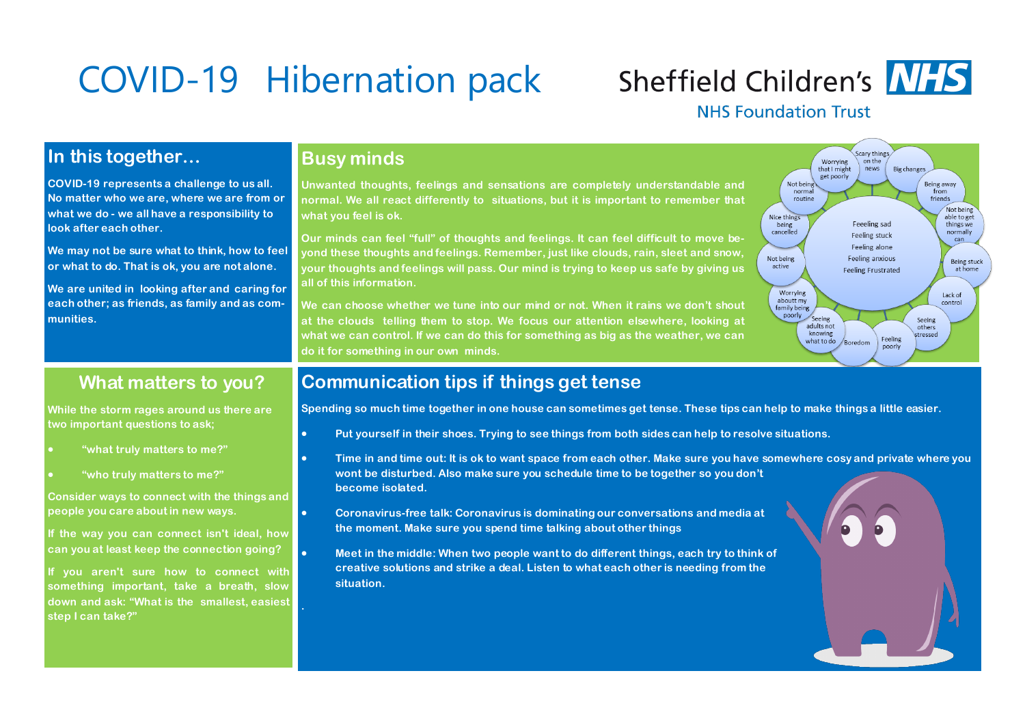# COVID-19 Hibernation pack

## **Sheffield Children's NHS**

#### **NHS Foundation Trust**

### **In this together…**

**COVID-19 represents a challenge to us all. No matter who we are, where we are from or what we do - we all have a responsibility to look after each other.** 

**We may not be sure what to think, how to feel or what to do. That is ok, you are not alone.** 

**We are united in looking after and caring for each other; as friends, as family and as communities.**

### **Busy minds**

**Unwanted thoughts, feelings and sensations are completely understandable and normal. We all react differently to situations, but it is important to remember that what you feel is ok.**

**Our minds can feel "full" of thoughts and feelings. It can feel difficult to move beyond these thoughts and feelings. Remember, just like clouds, rain, sleet and snow, your thoughts and feelings will pass. Our mind is trying to keep us safe by giving us all of this information.**

**We can choose whether we tune into our mind or not. When it rains we don't shout at the clouds telling them to stop. We focus our attention elsewhere, looking at what we can control. If we can do this for something as big as the weather, we can do it for something in our own minds.** 



### **What matters to you?**

**While the storm rages around us there are two important questions to ask;** 

- **"what truly matters to me?"**
- **"who truly matters to me?"**

**Consider ways to connect with the things and people you care about in new ways.** 

**If the way you can connect isn't ideal, how can you at least keep the connection going?**

**If you aren't sure how to connect with something important, take a breath, slow down and ask: "What is the smallest, easiest step I can take?"** 

#### **Communication tips if things get tense**

**Spending so much time together in one house can sometimes get tense. These tips can help to make things a little easier.**

- **Put yourself in their shoes. Trying to see things from both sides can help to resolve situations.**
- **Time in and time out: It is ok to want space from each other. Make sure you have somewhere cosy and private where you wont be disturbed. Also make sure you schedule time to be together so you don't become isolated.**
- **Coronavirus-free talk: Coronavirus is dominating our conversations and media at the moment. Make sure you spend time talking about other things**
- **Meet in the middle: When two people want to do different things, each try to think of creative solutions and strike a deal. Listen to what each other is needing from the situation.**